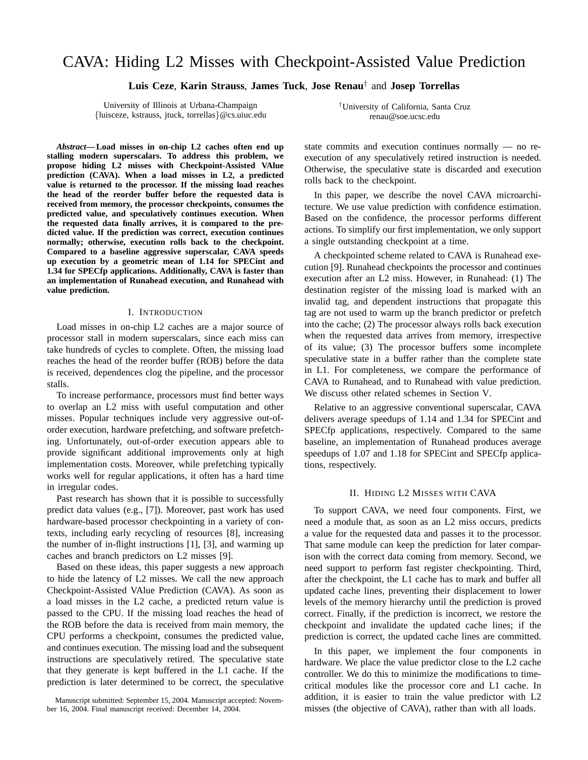# CAVA: Hiding L2 Misses with Checkpoint-Assisted Value Prediction

**Luis Ceze**, **Karin Strauss**, **James Tuck**, **Jose Renau**† and **Josep Torrellas**

University of Illinois at Urbana-Champaign {luisceze, kstrauss, jtuck, torrellas}@cs.uiuc.edu

†University of California, Santa Cruz renau@soe.ucsc.edu

*Abstract***— Load misses in on-chip L2 caches often end up stalling modern superscalars. To address this problem, we propose hiding L2 misses with Checkpoint-Assisted VAlue prediction (CAVA). When a load misses in L2, a predicted value is returned to the processor. If the missing load reaches the head of the reorder buffer before the requested data is received from memory, the processor checkpoints, consumes the predicted value, and speculatively continues execution. When the requested data finally arrives, it is compared to the predicted value. If the prediction was correct, execution continues normally; otherwise, execution rolls back to the checkpoint. Compared to a baseline aggressive superscalar, CAVA speeds up execution by a geometric mean of 1.14 for SPECint and 1.34 for SPECfp applications. Additionally, CAVA is faster than an implementation of Runahead execution, and Runahead with value prediction.**

## I. INTRODUCTION

Load misses in on-chip L2 caches are a major source of processor stall in modern superscalars, since each miss can take hundreds of cycles to complete. Often, the missing load reaches the head of the reorder buffer (ROB) before the data is received, dependences clog the pipeline, and the processor stalls.

To increase performance, processors must find better ways to overlap an L2 miss with useful computation and other misses. Popular techniques include very aggressive out-oforder execution, hardware prefetching, and software prefetching. Unfortunately, out-of-order execution appears able to provide significant additional improvements only at high implementation costs. Moreover, while prefetching typically works well for regular applications, it often has a hard time in irregular codes.

Past research has shown that it is possible to successfully predict data values (e.g., [7]). Moreover, past work has used hardware-based processor checkpointing in a variety of contexts, including early recycling of resources [8], increasing the number of in-flight instructions [1], [3], and warming up caches and branch predictors on L2 misses [9].

Based on these ideas, this paper suggests a new approach to hide the latency of L2 misses. We call the new approach Checkpoint-Assisted VAlue Prediction (CAVA). As soon as a load misses in the L2 cache, a predicted return value is passed to the CPU. If the missing load reaches the head of the ROB before the data is received from main memory, the CPU performs a checkpoint, consumes the predicted value, and continues execution. The missing load and the subsequent instructions are speculatively retired. The speculative state that they generate is kept buffered in the L1 cache. If the prediction is later determined to be correct, the speculative

state commits and execution continues normally — no reexecution of any speculatively retired instruction is needed. Otherwise, the speculative state is discarded and execution rolls back to the checkpoint.

In this paper, we describe the novel CAVA microarchitecture. We use value prediction with confidence estimation. Based on the confidence, the processor performs different actions. To simplify our first implementation, we only support a single outstanding checkpoint at a time.

A checkpointed scheme related to CAVA is Runahead execution [9]. Runahead checkpoints the processor and continues execution after an L2 miss. However, in Runahead: (1) The destination register of the missing load is marked with an invalid tag, and dependent instructions that propagate this tag are not used to warm up the branch predictor or prefetch into the cache; (2) The processor always rolls back execution when the requested data arrives from memory, irrespective of its value; (3) The processor buffers some incomplete speculative state in a buffer rather than the complete state in L1. For completeness, we compare the performance of CAVA to Runahead, and to Runahead with value prediction. We discuss other related schemes in Section V.

Relative to an aggressive conventional superscalar, CAVA delivers average speedups of 1.14 and 1.34 for SPECint and SPECfp applications, respectively. Compared to the same baseline, an implementation of Runahead produces average speedups of 1.07 and 1.18 for SPECint and SPECfp applications, respectively.

#### II. HIDING L2 MISSES WITH CAVA

To support CAVA, we need four components. First, we need a module that, as soon as an L2 miss occurs, predicts a value for the requested data and passes it to the processor. That same module can keep the prediction for later comparison with the correct data coming from memory. Second, we need support to perform fast register checkpointing. Third, after the checkpoint, the L1 cache has to mark and buffer all updated cache lines, preventing their displacement to lower levels of the memory hierarchy until the prediction is proved correct. Finally, if the prediction is incorrect, we restore the checkpoint and invalidate the updated cache lines; if the prediction is correct, the updated cache lines are committed.

In this paper, we implement the four components in hardware. We place the value predictor close to the L2 cache controller. We do this to minimize the modifications to timecritical modules like the processor core and L1 cache. In addition, it is easier to train the value predictor with L2 misses (the objective of CAVA), rather than with all loads.

Manuscript submitted: September 15, 2004. Manuscript accepted: November 16, 2004. Final manuscript received: December 14, 2004.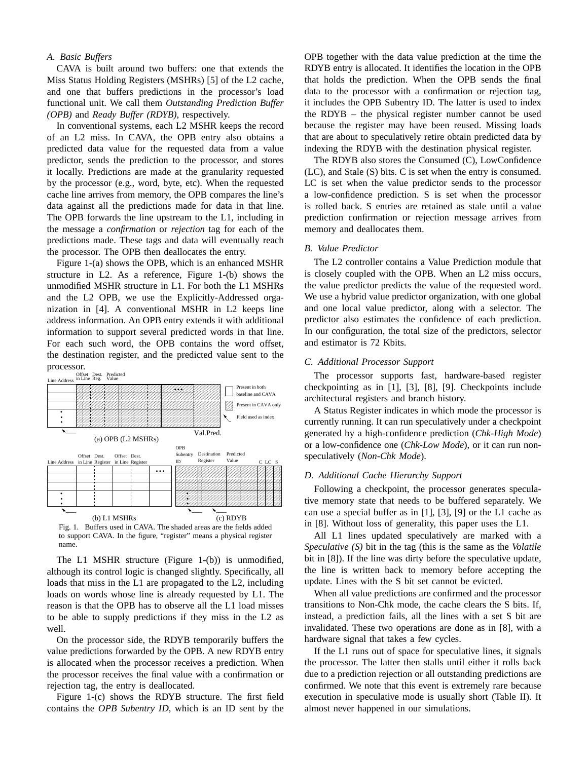# *A. Basic Buffers*

CAVA is built around two buffers: one that extends the Miss Status Holding Registers (MSHRs) [5] of the L2 cache, and one that buffers predictions in the processor's load functional unit. We call them *Outstanding Prediction Buffer (OPB)* and *Ready Buffer (RDYB)*, respectively.

In conventional systems, each L2 MSHR keeps the record of an L2 miss. In CAVA, the OPB entry also obtains a predicted data value for the requested data from a value predictor, sends the prediction to the processor, and stores it locally. Predictions are made at the granularity requested by the processor (e.g., word, byte, etc). When the requested cache line arrives from memory, the OPB compares the line's data against all the predictions made for data in that line. The OPB forwards the line upstream to the L1, including in the message a *confirmation* or *rejection* tag for each of the predictions made. These tags and data will eventually reach the processor. The OPB then deallocates the entry.

Figure 1-(a) shows the OPB, which is an enhanced MSHR structure in L2. As a reference, Figure 1-(b) shows the unmodified MSHR structure in L1. For both the L1 MSHRs and the L2 OPB, we use the Explicitly-Addressed organization in [4]. A conventional MSHR in L2 keeps line address information. An OPB entry extends it with additional information to support several predicted words in that line. For each such word, the OPB contains the word offset, the destination register, and the predicted value sent to the processor.



to support CAVA. In the figure, "register" means a physical register name.

The L1 MSHR structure (Figure 1-(b)) is unmodified, although its control logic is changed slightly. Specifically, all loads that miss in the L1 are propagated to the L2, including loads on words whose line is already requested by L1. The reason is that the OPB has to observe all the L1 load misses to be able to supply predictions if they miss in the L2 as well.

On the processor side, the RDYB temporarily buffers the value predictions forwarded by the OPB. A new RDYB entry is allocated when the processor receives a prediction. When the processor receives the final value with a confirmation or rejection tag, the entry is deallocated.

Figure 1-(c) shows the RDYB structure. The first field contains the *OPB Subentry ID*, which is an ID sent by the OPB together with the data value prediction at the time the RDYB entry is allocated. It identifies the location in the OPB that holds the prediction. When the OPB sends the final data to the processor with a confirmation or rejection tag, it includes the OPB Subentry ID. The latter is used to index the RDYB – the physical register number cannot be used because the register may have been reused. Missing loads that are about to speculatively retire obtain predicted data by indexing the RDYB with the destination physical register.

The RDYB also stores the Consumed (C), LowConfidence (LC), and Stale (S) bits. C is set when the entry is consumed. LC is set when the value predictor sends to the processor a low-confidence prediction. S is set when the processor is rolled back. S entries are retained as stale until a value prediction confirmation or rejection message arrives from memory and deallocates them.

## *B. Value Predictor*

The L2 controller contains a Value Prediction module that is closely coupled with the OPB. When an L2 miss occurs, the value predictor predicts the value of the requested word. We use a hybrid value predictor organization, with one global and one local value predictor, along with a selector. The predictor also estimates the confidence of each prediction. In our configuration, the total size of the predictors, selector and estimator is 72 Kbits.

## *C. Additional Processor Support*

The processor supports fast, hardware-based register checkpointing as in [1], [3], [8], [9]. Checkpoints include architectural registers and branch history.

A Status Register indicates in which mode the processor is currently running. It can run speculatively under a checkpoint generated by a high-confidence prediction (*Chk-High Mode*) or a low-confidence one (*Chk-Low Mode*), or it can run nonspeculatively (*Non-Chk Mode*).

#### *D. Additional Cache Hierarchy Support*

Following a checkpoint, the processor generates speculative memory state that needs to be buffered separately. We can use a special buffer as in [1], [3], [9] or the L1 cache as in [8]. Without loss of generality, this paper uses the L1.

All L1 lines updated speculatively are marked with a *Speculative (S)* bit in the tag (this is the same as the *Volatile* bit in [8]). If the line was dirty before the speculative update, the line is written back to memory before accepting the update. Lines with the S bit set cannot be evicted.

When all value predictions are confirmed and the processor transitions to Non-Chk mode, the cache clears the S bits. If, instead, a prediction fails, all the lines with a set S bit are invalidated. These two operations are done as in [8], with a hardware signal that takes a few cycles.

If the L1 runs out of space for speculative lines, it signals the processor. The latter then stalls until either it rolls back due to a prediction rejection or all outstanding predictions are confirmed. We note that this event is extremely rare because execution in speculative mode is usually short (Table II). It almost never happened in our simulations.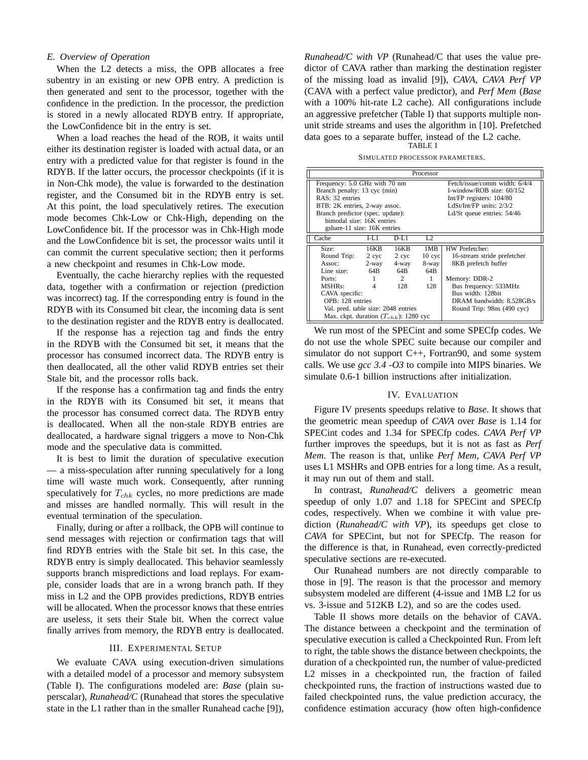# *E. Overview of Operation*

When the L2 detects a miss, the OPB allocates a free subentry in an existing or new OPB entry. A prediction is then generated and sent to the processor, together with the confidence in the prediction. In the processor, the prediction is stored in a newly allocated RDYB entry. If appropriate, the LowConfidence bit in the entry is set.

When a load reaches the head of the ROB, it waits until either its destination register is loaded with actual data, or an entry with a predicted value for that register is found in the RDYB. If the latter occurs, the processor checkpoints (if it is in Non-Chk mode), the value is forwarded to the destination register, and the Consumed bit in the RDYB entry is set. At this point, the load speculatively retires. The execution mode becomes Chk-Low or Chk-High, depending on the LowConfidence bit. If the processor was in Chk-High mode and the LowConfidence bit is set, the processor waits until it can commit the current speculative section; then it performs a new checkpoint and resumes in Chk-Low mode.

Eventually, the cache hierarchy replies with the requested data, together with a confirmation or rejection (prediction was incorrect) tag. If the corresponding entry is found in the RDYB with its Consumed bit clear, the incoming data is sent to the destination register and the RDYB entry is deallocated.

If the response has a rejection tag and finds the entry in the RDYB with the Consumed bit set, it means that the processor has consumed incorrect data. The RDYB entry is then deallocated, all the other valid RDYB entries set their Stale bit, and the processor rolls back.

If the response has a confirmation tag and finds the entry in the RDYB with its Consumed bit set, it means that the processor has consumed correct data. The RDYB entry is deallocated. When all the non-stale RDYB entries are deallocated, a hardware signal triggers a move to Non-Chk mode and the speculative data is committed.

It is best to limit the duration of speculative execution — a miss-speculation after running speculatively for a long time will waste much work. Consequently, after running speculatively for  $T_{chk}$  cycles, no more predictions are made and misses are handled normally. This will result in the eventual termination of the speculation.

Finally, during or after a rollback, the OPB will continue to send messages with rejection or confirmation tags that will find RDYB entries with the Stale bit set. In this case, the RDYB entry is simply deallocated. This behavior seamlessly supports branch mispredictions and load replays. For example, consider loads that are in a wrong branch path. If they miss in L2 and the OPB provides predictions, RDYB entries will be allocated. When the processor knows that these entries are useless, it sets their Stale bit. When the correct value finally arrives from memory, the RDYB entry is deallocated.

## III. EXPERIMENTAL SETUP

We evaluate CAVA using execution-driven simulations with a detailed model of a processor and memory subsystem (Table I). The configurations modeled are: *Base* (plain superscalar), *Runahead/C* (Runahead that stores the speculative state in the L1 rather than in the smaller Runahead cache [9]), *Runahead/C with VP* (Runahead/C that uses the value predictor of CAVA rather than marking the destination register of the missing load as invalid [9]), *CAVA*, *CAVA Perf VP* (CAVA with a perfect value predictor), and *Perf Mem* (*Base* with a 100% hit-rate L2 cache). All configurations include an aggressive prefetcher (Table I) that supports multiple nonunit stride streams and uses the algorithm in [10]. Prefetched data goes to a separate buffer, instead of the L2 cache. TABLE I

#### SIMULATED PROCESSOR PARAMETERS.

|  | SIMULATED PROCESSOR PARAMETERS. |
|--|---------------------------------|
|  |                                 |

| Processor                                                                                                                                                                                                         |          |                                                                                                                                                      |                  |                             |  |  |  |
|-------------------------------------------------------------------------------------------------------------------------------------------------------------------------------------------------------------------|----------|------------------------------------------------------------------------------------------------------------------------------------------------------|------------------|-----------------------------|--|--|--|
| Frequency: 5.0 GHz with 70 nm<br>Branch penalty: 13 cyc (min)<br>RAS: 32 entries<br>BTB: 2K entries, 2-way assoc.<br>Branch predictor (spec. update):<br>bimodal size: 16K entries<br>gshare-11 size: 16K entries |          | Fetch/issue/comm width: 6/4/4<br>L-window/ROB size: $60/152$<br>Int/FP registers: $104/80$<br>LdSt/Int/FP units: 2/3/2<br>Ld/St queue entries: 54/46 |                  |                             |  |  |  |
| Cache                                                                                                                                                                                                             | I-L1     | $D-I.1$                                                                                                                                              | L <sub>2</sub>   |                             |  |  |  |
| Size:                                                                                                                                                                                                             | 16KB     | 16KB                                                                                                                                                 | 1MB              | HW Prefetcher:              |  |  |  |
| Round Trip:                                                                                                                                                                                                       | 2 cyc    | 2 cyc                                                                                                                                                | $10 \text{ cyc}$ | 16-stream stride prefetcher |  |  |  |
| Assoc:                                                                                                                                                                                                            | $2$ -way | 4-way                                                                                                                                                | 8-way            | 8KB prefetch buffer         |  |  |  |
| Line size:                                                                                                                                                                                                        | 64B      | 64B                                                                                                                                                  | 64B              |                             |  |  |  |
| Ports:                                                                                                                                                                                                            |          | $\mathcal{L}$                                                                                                                                        | 1                | Memory: DDR-2               |  |  |  |
| <b>MSHRs:</b>                                                                                                                                                                                                     | 4        | 128                                                                                                                                                  | 128              | Bus frequency: 533MHz       |  |  |  |
| CAVA specific:                                                                                                                                                                                                    |          |                                                                                                                                                      |                  | Bus width: 128bit.          |  |  |  |
| OPB: 128 entries                                                                                                                                                                                                  |          |                                                                                                                                                      |                  | DRAM bandwidth: 8.528GB/s   |  |  |  |
| Val. pred. table size: 2048 entries                                                                                                                                                                               |          |                                                                                                                                                      |                  | Round Trip: 98ns (490 cyc)  |  |  |  |
| Max. ckpt. duration $(T_{chk})$ : 1280 cyc                                                                                                                                                                        |          |                                                                                                                                                      |                  |                             |  |  |  |

We run most of the SPECint and some SPECfp codes. We do not use the whole SPEC suite because our compiler and simulator do not support C++, Fortran90, and some system calls. We use *gcc 3.4 -O3* to compile into MIPS binaries. We simulate 0.6-1 billion instructions after initialization.

#### IV. EVALUATION

Figure IV presents speedups relative to *Base*. It shows that the geometric mean speedup of *CAVA* over *Base* is 1.14 for SPECint codes and 1.34 for SPECfp codes. *CAVA Perf VP* further improves the speedups, but it is not as fast as *Perf Mem*. The reason is that, unlike *Perf Mem*, *CAVA Perf VP* uses L1 MSHRs and OPB entries for a long time. As a result, it may run out of them and stall.

In contrast, *Runahead/C* delivers a geometric mean speedup of only 1.07 and 1.18 for SPECint and SPECfp codes, respectively. When we combine it with value prediction (*Runahead/C with VP*), its speedups get close to *CAVA* for SPECint, but not for SPECfp. The reason for the difference is that, in Runahead, even correctly-predicted speculative sections are re-executed.

Our Runahead numbers are not directly comparable to those in [9]. The reason is that the processor and memory subsystem modeled are different (4-issue and 1MB L2 for us vs. 3-issue and 512KB L2), and so are the codes used.

Table II shows more details on the behavior of CAVA. The distance between a checkpoint and the termination of speculative execution is called a Checkpointed Run. From left to right, the table shows the distance between checkpoints, the duration of a checkpointed run, the number of value-predicted L2 misses in a checkpointed run, the fraction of failed checkpointed runs, the fraction of instructions wasted due to failed checkpointed runs, the value prediction accuracy, the confidence estimation accuracy (how often high-confidence